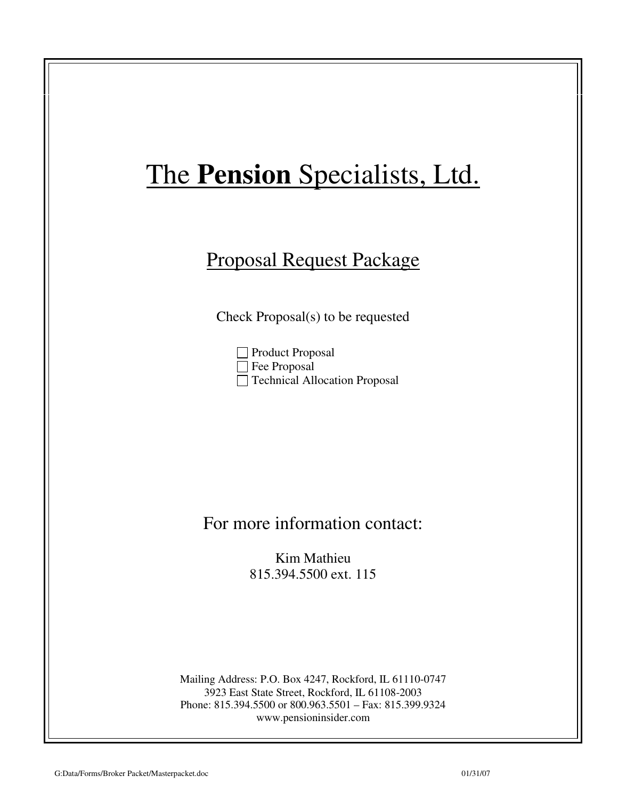## Proposal Request Package

Check Proposal(s) to be requested

Product Proposal □ Fee Proposal □ Technical Allocation Proposal

### For more information contact:

Kim Mathieu 815.394.5500 ext. 115

Mailing Address: P.O. Box 4247, Rockford, IL 61110-0747 3923 East State Street, Rockford, IL 61108-2003 Phone: 815.394.5500 or 800.963.5501 – Fax: 815.399.9324 www.pensioninsider.com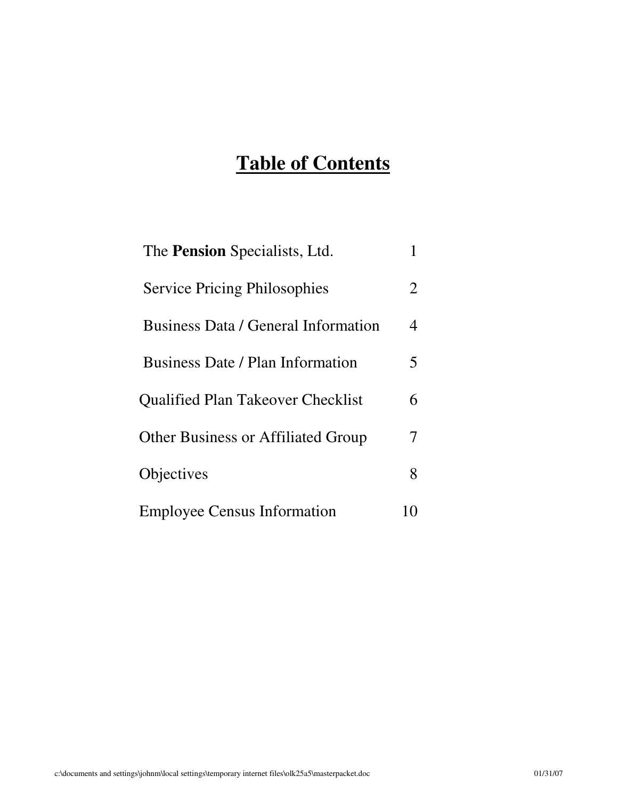## **Table of Contents**

| The <b>Pension</b> Specialists, Ltd.      |    |
|-------------------------------------------|----|
| <b>Service Pricing Philosophies</b>       | 2  |
| Business Data / General Information       | 4  |
| Business Date / Plan Information          | 5. |
| <b>Qualified Plan Takeover Checklist</b>  | 6  |
| <b>Other Business or Affiliated Group</b> |    |
| Objectives                                | 8  |
| <b>Employee Census Information</b>        |    |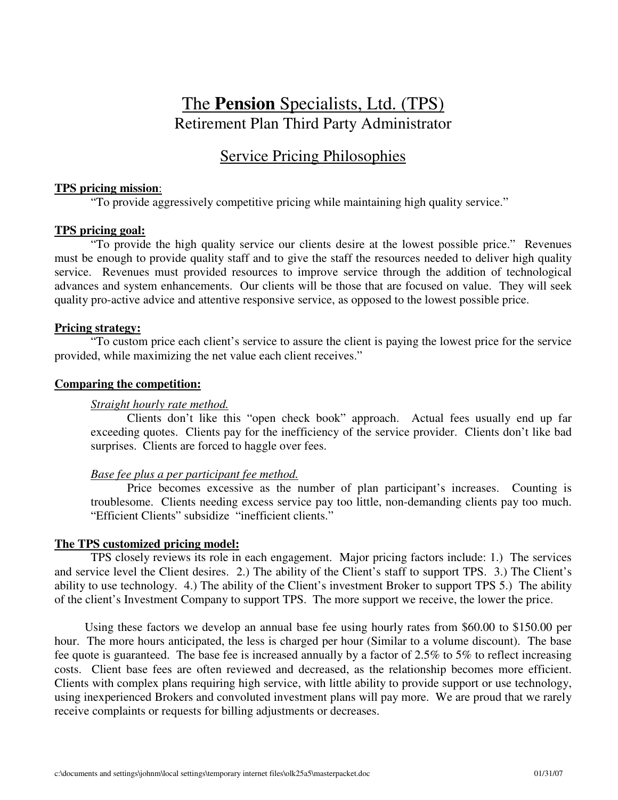## The **Pension** Specialists, Ltd. (TPS) Retirement Plan Third Party Administrator

### Service Pricing Philosophies

#### **TPS pricing mission**:

"To provide aggressively competitive pricing while maintaining high quality service."

#### **TPS pricing goal:**

"To provide the high quality service our clients desire at the lowest possible price." Revenues must be enough to provide quality staff and to give the staff the resources needed to deliver high quality service. Revenues must provided resources to improve service through the addition of technological advances and system enhancements. Our clients will be those that are focused on value. They will seek quality pro-active advice and attentive responsive service, as opposed to the lowest possible price.

#### **Pricing strategy:**

"To custom price each client's service to assure the client is paying the lowest price for the service provided, while maximizing the net value each client receives."

#### **Comparing the competition:**

#### *Straight hourly rate method.*

Clients don't like this "open check book" approach. Actual fees usually end up far exceeding quotes. Clients pay for the inefficiency of the service provider. Clients don't like bad surprises. Clients are forced to haggle over fees.

#### *Base fee plus a per participant fee method.*

Price becomes excessive as the number of plan participant's increases. Counting is troublesome. Clients needing excess service pay too little, non-demanding clients pay too much. "Efficient Clients" subsidize "inefficient clients."

#### **The TPS customized pricing model:**

TPS closely reviews its role in each engagement. Major pricing factors include: 1.) The services and service level the Client desires. 2.) The ability of the Client's staff to support TPS. 3.) The Client's ability to use technology. 4.) The ability of the Client's investment Broker to support TPS 5.) The ability of the client's Investment Company to support TPS. The more support we receive, the lower the price.

 Using these factors we develop an annual base fee using hourly rates from \$60.00 to \$150.00 per hour. The more hours anticipated, the less is charged per hour (Similar to a volume discount). The base fee quote is guaranteed. The base fee is increased annually by a factor of 2.5% to 5% to reflect increasing costs. Client base fees are often reviewed and decreased, as the relationship becomes more efficient. Clients with complex plans requiring high service, with little ability to provide support or use technology, using inexperienced Brokers and convoluted investment plans will pay more. We are proud that we rarely receive complaints or requests for billing adjustments or decreases.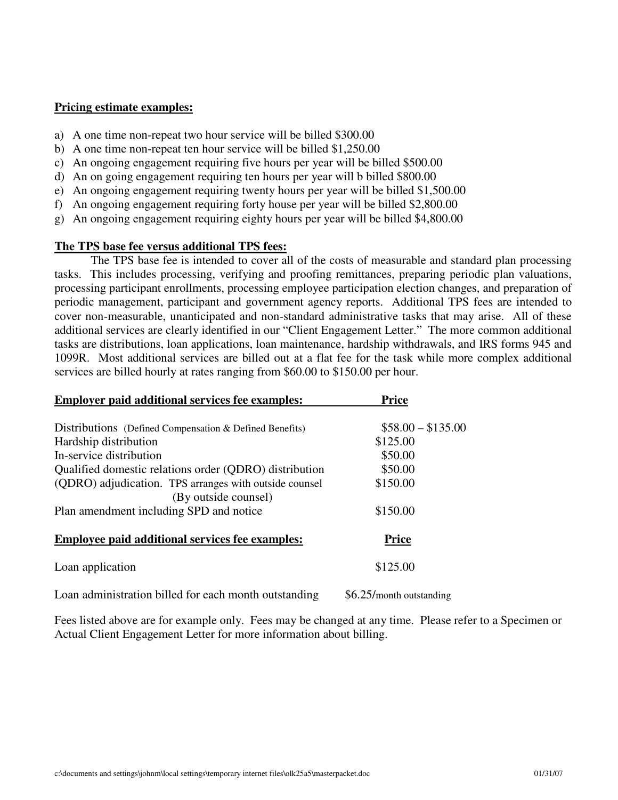#### **Pricing estimate examples:**

- a) A one time non-repeat two hour service will be billed \$300.00
- b) A one time non-repeat ten hour service will be billed \$1,250.00
- c) An ongoing engagement requiring five hours per year will be billed \$500.00
- d) An on going engagement requiring ten hours per year will b billed \$800.00
- e) An ongoing engagement requiring twenty hours per year will be billed \$1,500.00
- f) An ongoing engagement requiring forty house per year will be billed \$2,800.00
- g) An ongoing engagement requiring eighty hours per year will be billed \$4,800.00

#### **The TPS base fee versus additional TPS fees:**

The TPS base fee is intended to cover all of the costs of measurable and standard plan processing tasks. This includes processing, verifying and proofing remittances, preparing periodic plan valuations, processing participant enrollments, processing employee participation election changes, and preparation of periodic management, participant and government agency reports. Additional TPS fees are intended to cover non-measurable, unanticipated and non-standard administrative tasks that may arise. All of these additional services are clearly identified in our "Client Engagement Letter." The more common additional tasks are distributions, loan applications, loan maintenance, hardship withdrawals, and IRS forms 945 and 1099R. Most additional services are billed out at a flat fee for the task while more complex additional services are billed hourly at rates ranging from \$60.00 to \$150.00 per hour.

| <b>Employer paid additional services fee examples:</b>  | <b>Price</b>             |
|---------------------------------------------------------|--------------------------|
|                                                         |                          |
| Distributions (Defined Compensation & Defined Benefits) | $$58.00 - $135.00$       |
| Hardship distribution                                   | \$125.00                 |
| In-service distribution                                 | \$50.00                  |
| Qualified domestic relations order (QDRO) distribution  | \$50.00                  |
| (QDRO) adjudication. TPS arranges with outside counsel  | \$150.00                 |
| (By outside counsel)                                    |                          |
| Plan amendment including SPD and notice                 | \$150.00                 |
|                                                         |                          |
| <b>Employee paid additional services fee examples:</b>  | <b>Price</b>             |
| Loan application                                        | \$125.00                 |
| Loan administration billed for each month outstanding   | \$6.25/month outstanding |

Fees listed above are for example only. Fees may be changed at any time. Please refer to a Specimen or Actual Client Engagement Letter for more information about billing.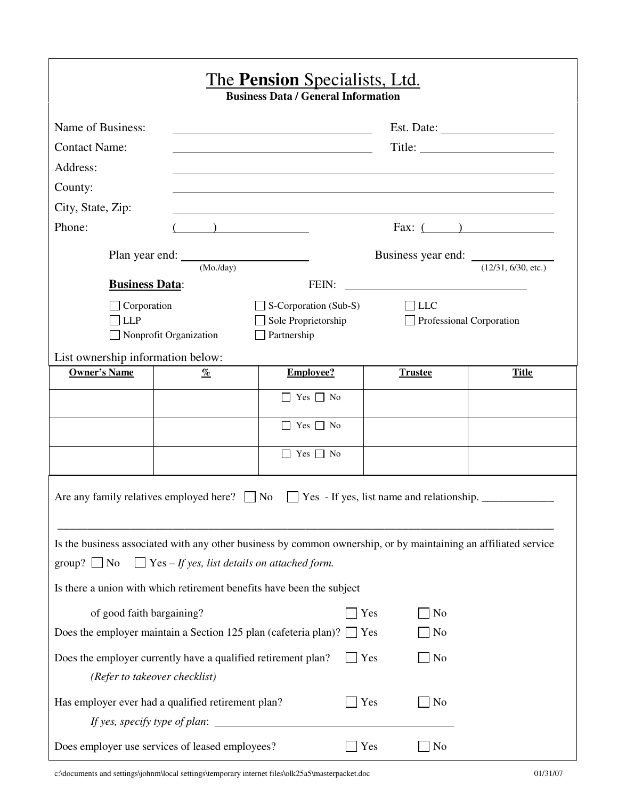|                                                                                                                                                                                                                                                                                                            |                                                       | <u>The Pension Specialists, Ltd.</u><br><b>Business Data / General Information</b> |                                                                                                                       |                                                           |  |  |  |  |
|------------------------------------------------------------------------------------------------------------------------------------------------------------------------------------------------------------------------------------------------------------------------------------------------------------|-------------------------------------------------------|------------------------------------------------------------------------------------|-----------------------------------------------------------------------------------------------------------------------|-----------------------------------------------------------|--|--|--|--|
| Name of Business:                                                                                                                                                                                                                                                                                          | Est. Date:<br><u> 1989 - Johann Barbara, martin a</u> |                                                                                    |                                                                                                                       |                                                           |  |  |  |  |
| <b>Contact Name:</b>                                                                                                                                                                                                                                                                                       |                                                       |                                                                                    |                                                                                                                       |                                                           |  |  |  |  |
| Address:                                                                                                                                                                                                                                                                                                   |                                                       |                                                                                    |                                                                                                                       |                                                           |  |  |  |  |
| County:                                                                                                                                                                                                                                                                                                    |                                                       |                                                                                    |                                                                                                                       |                                                           |  |  |  |  |
| City, State, Zip:                                                                                                                                                                                                                                                                                          |                                                       |                                                                                    |                                                                                                                       |                                                           |  |  |  |  |
| Phone:                                                                                                                                                                                                                                                                                                     | $\begin{pmatrix} 1 & 1 \\ 1 & 1 \end{pmatrix}$        |                                                                                    |                                                                                                                       | Fax: $($ $)$                                              |  |  |  |  |
|                                                                                                                                                                                                                                                                                                            |                                                       |                                                                                    |                                                                                                                       | Business year end: $\frac{1}{(12/31, 6/30, \text{etc.})}$ |  |  |  |  |
|                                                                                                                                                                                                                                                                                                            | $(Mo$ ./day)                                          |                                                                                    |                                                                                                                       |                                                           |  |  |  |  |
| <b>Business Data:</b>                                                                                                                                                                                                                                                                                      |                                                       | FEIN:                                                                              | <u> 1989 - Johann Stein, fransk konge og det forskellige og det forskellige og det forskellige og det forskellige</u> |                                                           |  |  |  |  |
| $\Box$ Corporation<br>LLP                                                                                                                                                                                                                                                                                  |                                                       | $\Box$ S-Corporation (Sub-S)<br>Sole Proprietorship                                | $\Box$ LLC                                                                                                            | Professional Corporation                                  |  |  |  |  |
|                                                                                                                                                                                                                                                                                                            | Nonprofit Organization                                | Partnership                                                                        |                                                                                                                       |                                                           |  |  |  |  |
| List ownership information below:                                                                                                                                                                                                                                                                          |                                                       |                                                                                    |                                                                                                                       |                                                           |  |  |  |  |
| <b>Owner's Name</b>                                                                                                                                                                                                                                                                                        | $\%$                                                  | <b>Employee?</b>                                                                   | <b>Trustee</b>                                                                                                        | <b>Title</b>                                              |  |  |  |  |
|                                                                                                                                                                                                                                                                                                            |                                                       | $\Box$ Yes $\Box$ No                                                               |                                                                                                                       |                                                           |  |  |  |  |
|                                                                                                                                                                                                                                                                                                            |                                                       | $\Box$ Yes $\Box$ No                                                               |                                                                                                                       |                                                           |  |  |  |  |
|                                                                                                                                                                                                                                                                                                            |                                                       | $\Box$ Yes $\Box$ No                                                               |                                                                                                                       |                                                           |  |  |  |  |
| Are any family relatives employed here? $\Box$ No<br>$\Box$ Yes - If yes, list name and relationship. $\Box$<br>Is the business associated with any other business by common ownership, or by maintaining an affiliated service<br>$\Box$ Yes – If yes, list details on attached form.<br>group? $\Box$ No |                                                       |                                                                                    |                                                                                                                       |                                                           |  |  |  |  |
|                                                                                                                                                                                                                                                                                                            |                                                       | Is there a union with which retirement benefits have been the subject              |                                                                                                                       |                                                           |  |  |  |  |
| of good faith bargaining?                                                                                                                                                                                                                                                                                  |                                                       |                                                                                    | Yes<br>N <sub>o</sub>                                                                                                 |                                                           |  |  |  |  |
|                                                                                                                                                                                                                                                                                                            |                                                       | Does the employer maintain a Section 125 plan (cafeteria plan)?                    | Yes<br>N <sub>0</sub>                                                                                                 |                                                           |  |  |  |  |
| Does the employer currently have a qualified retirement plan?                                                                                                                                                                                                                                              | (Refer to takeover checklist)                         |                                                                                    | Yes<br>No                                                                                                             |                                                           |  |  |  |  |
| Has employer ever had a qualified retirement plan?                                                                                                                                                                                                                                                         |                                                       |                                                                                    | Yes<br>No                                                                                                             |                                                           |  |  |  |  |
| Does employer use services of leased employees?                                                                                                                                                                                                                                                            |                                                       |                                                                                    | Yes<br>No                                                                                                             |                                                           |  |  |  |  |

c:\documents and settings\johnm\local settings\temporary internet files\olk25a5\masterpacket.doc 01/31/07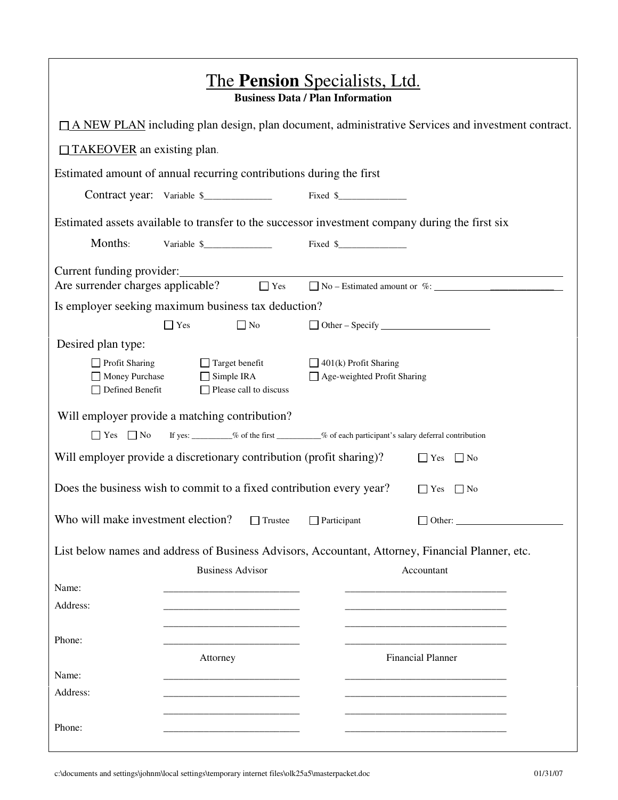| <u>The <b>Pension</b> Specialists, Ltd.</u><br><b>Business Data / Plan Information</b>                       |                                            |                               |                    |                                                             |                                                                                              |  |  |  |
|--------------------------------------------------------------------------------------------------------------|--------------------------------------------|-------------------------------|--------------------|-------------------------------------------------------------|----------------------------------------------------------------------------------------------|--|--|--|
| $\Box$ A NEW PLAN including plan design, plan document, administrative Services and investment contract.     |                                            |                               |                    |                                                             |                                                                                              |  |  |  |
| $\Box$ TAKEOVER an existing plan.                                                                            |                                            |                               |                    |                                                             |                                                                                              |  |  |  |
| Estimated amount of annual recurring contributions during the first                                          |                                            |                               |                    |                                                             |                                                                                              |  |  |  |
| Contract year: Variable \$                                                                                   |                                            |                               |                    |                                                             |                                                                                              |  |  |  |
| Estimated assets available to transfer to the successor investment company during the first six              |                                            |                               |                    |                                                             |                                                                                              |  |  |  |
| Months:                                                                                                      | Variable \$                                |                               |                    |                                                             |                                                                                              |  |  |  |
| Current funding provider:<br>Are surrender charges applicable? $\Box$ Yes $\Box$ No – Estimated amount or %: |                                            |                               |                    |                                                             |                                                                                              |  |  |  |
| Is employer seeking maximum business tax deduction?                                                          |                                            |                               |                    |                                                             |                                                                                              |  |  |  |
|                                                                                                              | $\Box$ Yes                                 | $\Box$ No                     |                    |                                                             | $\Box$ Other – Specify $\Box$                                                                |  |  |  |
| Desired plan type:                                                                                           |                                            |                               |                    |                                                             |                                                                                              |  |  |  |
| $\Box$ Profit Sharing<br>Money Purchase<br>Defined Benefit                                                   | $\Box$ Target benefit<br>$\Box$ Simple IRA | $\Box$ Please call to discuss |                    | $\Box$ 401(k) Profit Sharing<br>Age-weighted Profit Sharing |                                                                                              |  |  |  |
| Will employer provide a matching contribution?                                                               |                                            |                               |                    |                                                             |                                                                                              |  |  |  |
| $\Box$ Yes $\Box$ No                                                                                         |                                            |                               |                    |                                                             | If yes: ________% of the first _________% of each participant's salary deferral contribution |  |  |  |
| Will employer provide a discretionary contribution (profit sharing)?                                         |                                            |                               |                    |                                                             | $\Box$ Yes<br>$\Box$ No                                                                      |  |  |  |
| Does the business wish to commit to a fixed contribution every year?                                         |                                            |                               |                    |                                                             | $\Box$ Yes<br>$\vert$   No                                                                   |  |  |  |
| Who will make investment election?                                                                           |                                            | $\Box$ Trustee                | $\Box$ Participant |                                                             | $\Box$ Other:                                                                                |  |  |  |
| List below names and address of Business Advisors, Accountant, Attorney, Financial Planner, etc.             |                                            |                               |                    |                                                             |                                                                                              |  |  |  |
|                                                                                                              | <b>Business Advisor</b>                    |                               |                    |                                                             | Accountant                                                                                   |  |  |  |
| Name:                                                                                                        |                                            |                               |                    |                                                             |                                                                                              |  |  |  |
| Address:                                                                                                     |                                            |                               |                    |                                                             |                                                                                              |  |  |  |
|                                                                                                              |                                            |                               |                    |                                                             |                                                                                              |  |  |  |
| Phone:                                                                                                       | Attorney                                   |                               |                    |                                                             | <b>Financial Planner</b>                                                                     |  |  |  |
| Name:                                                                                                        |                                            |                               |                    |                                                             |                                                                                              |  |  |  |
| Address:                                                                                                     |                                            |                               |                    |                                                             |                                                                                              |  |  |  |
| Phone:                                                                                                       |                                            |                               |                    |                                                             |                                                                                              |  |  |  |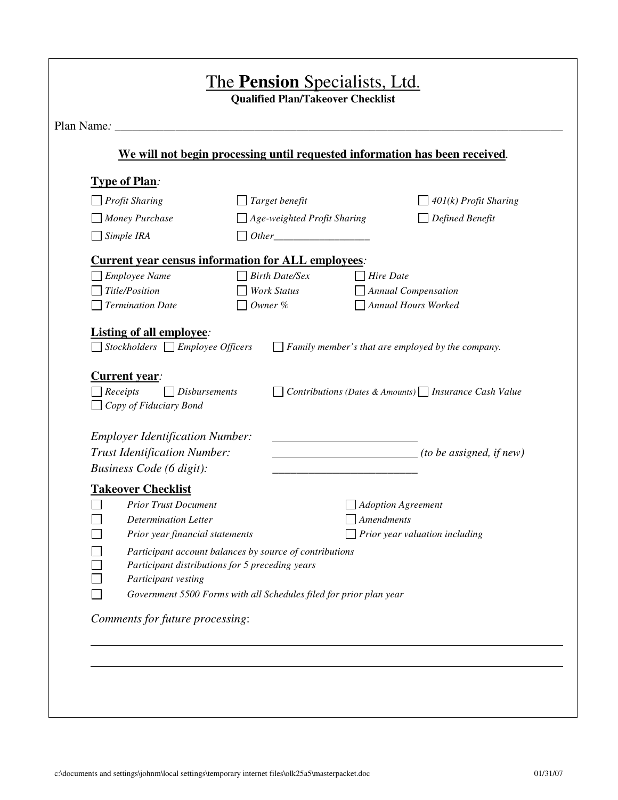|                                                                                                                                        | We will not begin processing until requested information has been received.                                                                                                                                                             |                                                                                                                         |
|----------------------------------------------------------------------------------------------------------------------------------------|-----------------------------------------------------------------------------------------------------------------------------------------------------------------------------------------------------------------------------------------|-------------------------------------------------------------------------------------------------------------------------|
| <b>Type of Plan:</b>                                                                                                                   |                                                                                                                                                                                                                                         |                                                                                                                         |
| Profit Sharing                                                                                                                         | Target benefit                                                                                                                                                                                                                          | $401(k)$ Profit Sharing                                                                                                 |
| $\Box$ Money Purchase                                                                                                                  | $\Box$ Age-weighted Profit Sharing                                                                                                                                                                                                      | Defined Benefit                                                                                                         |
| $\Box$ Simple IRA                                                                                                                      | $Other$ <u>contains and the set of the set of the set of the set of the set of the set of the set of the set of the set of the set of the set of the set of the set of the set of the set of the set of the set of the set of the s</u> |                                                                                                                         |
|                                                                                                                                        | <b>Current year census information for ALL employees:</b>                                                                                                                                                                               |                                                                                                                         |
| Employee Name                                                                                                                          | <b>Birth Date/Sex</b>                                                                                                                                                                                                                   | Hire Date                                                                                                               |
| Title/Position                                                                                                                         | <b>Work Status</b>                                                                                                                                                                                                                      | <b>Annual Compensation</b>                                                                                              |
| <b>Termination Date</b>                                                                                                                | Owner %                                                                                                                                                                                                                                 | <b>Annual Hours Worked</b>                                                                                              |
| $\Box$ Disbursements<br>$\Box$ Receipts                                                                                                | $\Box$ Stockholders $\Box$ Employee Officers                                                                                                                                                                                            | $\Box$ Family member's that are employed by the company.<br>Contributions (Dates & Amounts) $\Box$ Insurance Cash Value |
| <b>Current year:</b><br>$\Box$ Copy of Fiduciary Bond<br><b>Employer Identification Number:</b><br><b>Trust Identification Number:</b> |                                                                                                                                                                                                                                         | $(to\ be\ assigned,\ if\ new)$                                                                                          |
| Business Code (6 digit):                                                                                                               |                                                                                                                                                                                                                                         |                                                                                                                         |
| <b>Takeover Checklist</b><br><b>Prior Trust Document</b>                                                                               |                                                                                                                                                                                                                                         | Adoption Agreement                                                                                                      |
| <b>Determination Letter</b>                                                                                                            |                                                                                                                                                                                                                                         | Amendments                                                                                                              |
| Prior year financial statements                                                                                                        |                                                                                                                                                                                                                                         | Prior year valuation including                                                                                          |
|                                                                                                                                        | Participant account balances by source of contributions                                                                                                                                                                                 |                                                                                                                         |
|                                                                                                                                        | Participant distributions for 5 preceding years                                                                                                                                                                                         |                                                                                                                         |
| Participant vesting                                                                                                                    |                                                                                                                                                                                                                                         |                                                                                                                         |
|                                                                                                                                        | Government 5500 Forms with all Schedules filed for prior plan year                                                                                                                                                                      |                                                                                                                         |
| Comments for future processing:                                                                                                        |                                                                                                                                                                                                                                         |                                                                                                                         |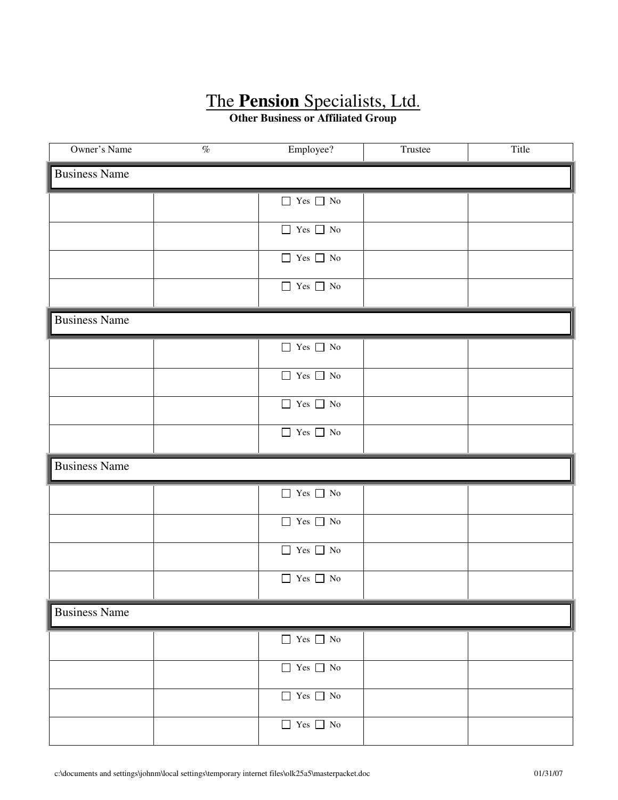**Other Business or Affiliated Group** 

| Owner's Name         | $\overline{\mathcal{O}_{\!\!O}}$ | Employee?                                              | Trustee | Title |
|----------------------|----------------------------------|--------------------------------------------------------|---------|-------|
| <b>Business Name</b> |                                  |                                                        |         |       |
|                      |                                  | $\hfill\Box$<br>Yes $\hfill\Box$<br>No                 |         |       |
|                      |                                  | $\hfill\Box$<br>Yes $\hfill\Box$<br>No                 |         |       |
|                      |                                  | $\hfill\Box$<br>Yes $\hfill\Box$<br>No                 |         |       |
|                      |                                  | $\hfill\Box$<br>Yes $\hfill\Box$<br>No                 |         |       |
| <b>Business Name</b> |                                  |                                                        |         |       |
|                      |                                  | $\hfill\Box$<br>Yes $\hfill\Box$<br>No                 |         |       |
|                      |                                  | $\hfill\Box$<br>Yes $\hfill\Box$<br>No                 |         |       |
|                      |                                  | $\hfill\Box$<br>Yes $\hfill\Box$<br>No                 |         |       |
|                      |                                  | $\hfill\Box$<br>Yes $\hfill\Box$<br>No                 |         |       |
| <b>Business Name</b> |                                  |                                                        |         |       |
|                      |                                  | $\hfill\Box$<br>Yes $\hfill\Box$<br>No                 |         |       |
|                      |                                  | $\hfill\Box$<br>Yes $\hfill\Box$<br>No                 |         |       |
|                      |                                  | $\hfill\Box$<br>Yes $\hfill\Box$<br>No                 |         |       |
|                      |                                  | $\hfill\Box$<br>Yes $\hfill\Box$<br>No                 |         |       |
| <b>Business Name</b> |                                  |                                                        |         |       |
|                      |                                  | $\hfill\Box$<br>Yes $\hfill\Box$<br>No                 |         |       |
|                      |                                  | $\hfill\Box$<br>Yes $\hfill\Box$<br>No                 |         |       |
|                      |                                  | $\hfill\Box$<br>Yes $\hfill\Box$<br>No                 |         |       |
|                      |                                  | $\hfill\blacksquare$<br>Yes $\hfill\blacksquare$<br>No |         |       |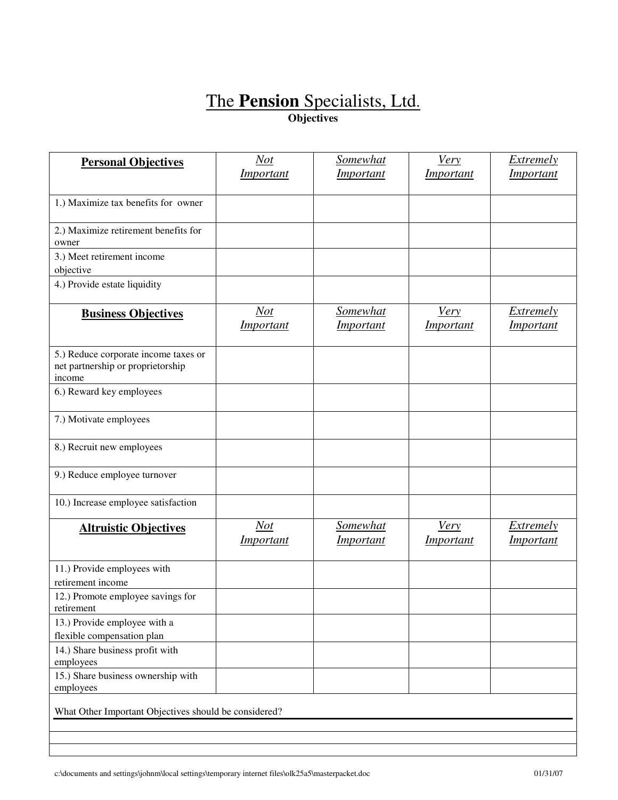### The **Pension** Specialists, Ltd. **Objectives**

| <b>Personal Objectives</b>                                                          | <b>Not</b><br><i>Important</i> | <b>Somewhat</b><br><i>Important</i> | <b>Very</b><br><i>Important</i> | Extremely<br><i>Important</i>        |
|-------------------------------------------------------------------------------------|--------------------------------|-------------------------------------|---------------------------------|--------------------------------------|
|                                                                                     |                                |                                     |                                 |                                      |
| 1.) Maximize tax benefits for owner                                                 |                                |                                     |                                 |                                      |
| 2.) Maximize retirement benefits for<br>owner                                       |                                |                                     |                                 |                                      |
| 3.) Meet retirement income                                                          |                                |                                     |                                 |                                      |
| objective                                                                           |                                |                                     |                                 |                                      |
| 4.) Provide estate liquidity                                                        |                                |                                     |                                 |                                      |
| <b>Business Objectives</b>                                                          | <b>Not</b><br>Important        | <b>Somewhat</b><br><i>Important</i> | <u>Very</u><br>Important        | <b>Extremely</b><br>Important        |
| 5.) Reduce corporate income taxes or<br>net partnership or proprietorship<br>income |                                |                                     |                                 |                                      |
| 6.) Reward key employees                                                            |                                |                                     |                                 |                                      |
| 7.) Motivate employees                                                              |                                |                                     |                                 |                                      |
| 8.) Recruit new employees                                                           |                                |                                     |                                 |                                      |
| 9.) Reduce employee turnover                                                        |                                |                                     |                                 |                                      |
| 10.) Increase employee satisfaction                                                 |                                |                                     |                                 |                                      |
| <b>Altruistic Objectives</b>                                                        | Not<br><i>Important</i>        | Somewhat<br><i>Important</i>        | <b>Very</b><br><i>Important</i> | <b>Extremely</b><br><i>Important</i> |
| 11.) Provide employees with                                                         |                                |                                     |                                 |                                      |
| retirement income                                                                   |                                |                                     |                                 |                                      |
| 12.) Promote employee savings for<br>retirement                                     |                                |                                     |                                 |                                      |
| 13.) Provide employee with a                                                        |                                |                                     |                                 |                                      |
| flexible compensation plan<br>14.) Share business profit with                       |                                |                                     |                                 |                                      |
| employees                                                                           |                                |                                     |                                 |                                      |
| 15.) Share business ownership with<br>employees                                     |                                |                                     |                                 |                                      |
| What Other Important Objectives should be considered?                               |                                |                                     |                                 |                                      |
|                                                                                     |                                |                                     |                                 |                                      |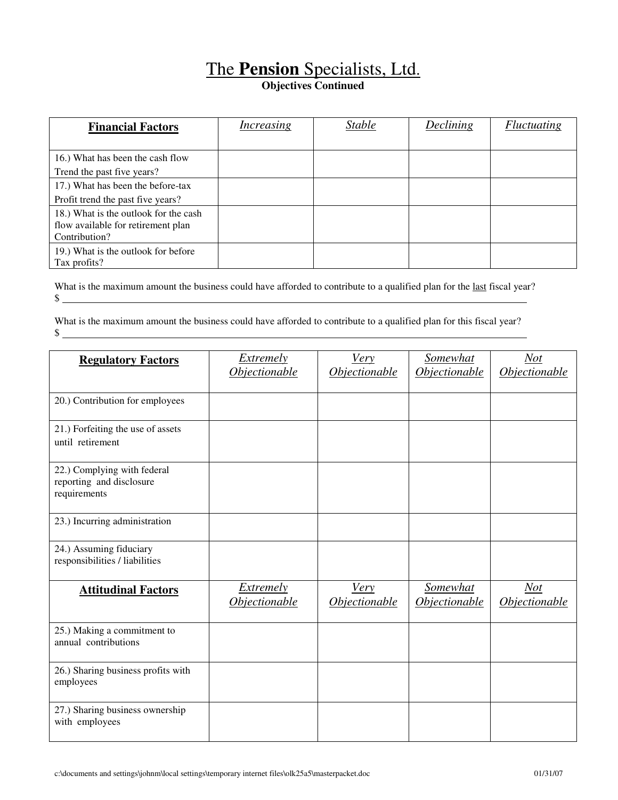**Objectives Continued** 

| <b>Financial Factors</b>              | Increasing | <b>Stable</b> | Declining | <i>Fluctuating</i> |
|---------------------------------------|------------|---------------|-----------|--------------------|
|                                       |            |               |           |                    |
| 16.) What has been the cash flow      |            |               |           |                    |
| Trend the past five years?            |            |               |           |                    |
| 17.) What has been the before-tax     |            |               |           |                    |
| Profit trend the past five years?     |            |               |           |                    |
| 18.) What is the outlook for the cash |            |               |           |                    |
| flow available for retirement plan    |            |               |           |                    |
| Contribution?                         |            |               |           |                    |
| 19.) What is the outlook for before   |            |               |           |                    |
| Tax profits?                          |            |               |           |                    |

What is the maximum amount the business could have afforded to contribute to a qualified plan for the last fiscal year?  $\frac{1}{2}$ 

What is the maximum amount the business could have afforded to contribute to a qualified plan for this fiscal year?  $$$ 

| <b>Regulatory Factors</b>                                               | <b>Extremely</b>                  | <b>Very</b>                  | <b>Somewhat</b>                                | <b>Not</b>                         |
|-------------------------------------------------------------------------|-----------------------------------|------------------------------|------------------------------------------------|------------------------------------|
|                                                                         | Objectionable                     | Objectionable                | Objectionable                                  | <b>Objectionable</b>               |
| 20.) Contribution for employees                                         |                                   |                              |                                                |                                    |
| 21.) Forfeiting the use of assets<br>until retirement                   |                                   |                              |                                                |                                    |
| 22.) Complying with federal<br>reporting and disclosure<br>requirements |                                   |                              |                                                |                                    |
| 23.) Incurring administration                                           |                                   |                              |                                                |                                    |
| 24.) Assuming fiduciary<br>responsibilities / liabilities               |                                   |                              |                                                |                                    |
| <b>Attitudinal Factors</b>                                              | <b>Extremely</b><br>Objectionable | <b>Very</b><br>Objectionable | Somewhat<br><i><u><b>Objectionable</b></u></i> | Not<br><i><b>Objectionable</b></i> |
| 25.) Making a commitment to<br>annual contributions                     |                                   |                              |                                                |                                    |
| 26.) Sharing business profits with<br>employees                         |                                   |                              |                                                |                                    |
| 27.) Sharing business ownership<br>with employees                       |                                   |                              |                                                |                                    |